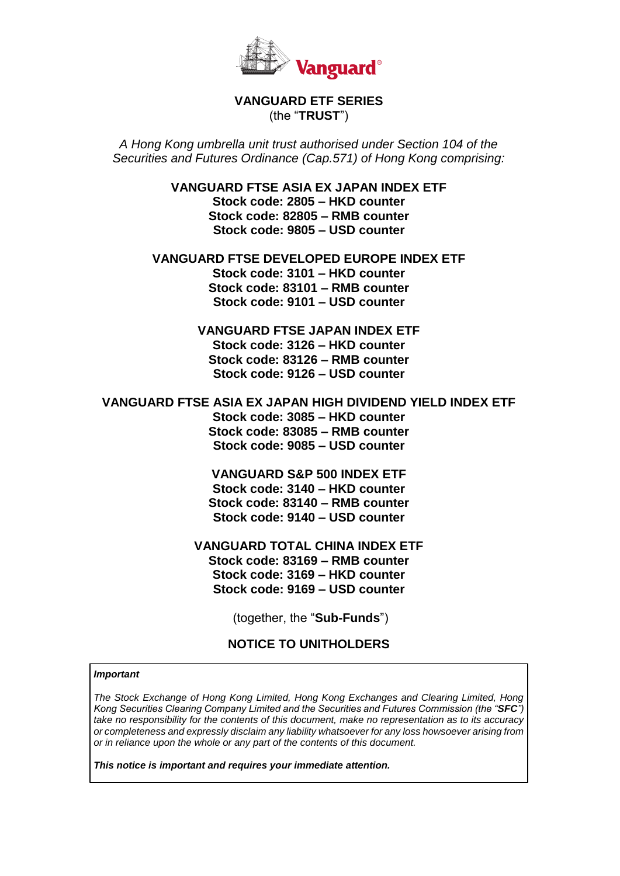

# **VANGUARD ETF SERIES**  (the "**TRUST**")

*A Hong Kong umbrella unit trust authorised under Section 104 of the Securities and Futures Ordinance (Cap.571) of Hong Kong comprising:*

> **VANGUARD FTSE ASIA EX JAPAN INDEX ETF Stock code: 2805 – HKD counter Stock code: 82805 – RMB counter Stock code: 9805 – USD counter**

**VANGUARD FTSE DEVELOPED EUROPE INDEX ETF Stock code: 3101 – HKD counter Stock code: 83101 – RMB counter Stock code: 9101 – USD counter**

> **VANGUARD FTSE JAPAN INDEX ETF Stock code: 3126 – HKD counter Stock code: 83126 – RMB counter Stock code: 9126 – USD counter**

**VANGUARD FTSE ASIA EX JAPAN HIGH DIVIDEND YIELD INDEX ETF Stock code: 3085 – HKD counter Stock code: 83085 – RMB counter Stock code: 9085 – USD counter**

> **VANGUARD S&P 500 INDEX ETF Stock code: 3140 – HKD counter Stock code: 83140 – RMB counter Stock code: 9140 – USD counter**

**VANGUARD TOTAL CHINA INDEX ETF Stock code: 83169 – RMB counter Stock code: 3169 – HKD counter Stock code: 9169 – USD counter**

(together, the "**Sub-Funds**")

# **NOTICE TO UNITHOLDERS**

#### *Important*

*The Stock Exchange of Hong Kong Limited, Hong Kong Exchanges and Clearing Limited, Hong Kong Securities Clearing Company Limited and the Securities and Futures Commission (the "SFC") take no responsibility for the contents of this document, make no representation as to its accuracy or completeness and expressly disclaim any liability whatsoever for any loss howsoever arising from or in reliance upon the whole or any part of the contents of this document.*

*This notice is important and requires your immediate attention.*